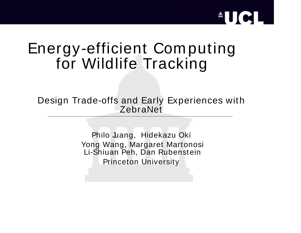#### Energy-efficient Computing for Wildlife Tracking

Design Trade-offs and Early Experiences with ZebraNet

> Philo Juang, Hidekazu Oki Yong Wang, Margaret Martonosi Li-Shiuan Peh, Dan Rubenstein Princeton University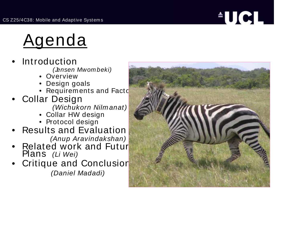# $^{\circ}$ UCL $^{\circ}$

## <u>Agenda</u>

- • $\bullet$  Introduction
	- (Jensen Mwombeki)
	- Overview
	- Design goals
	- Requirements and Facto $\blacksquare$
- • Collar Design (Wichukorn Nilm anat)
	- Collar HW design
	- Protocol design
- • $\bullet~$  Results and Evaluation (Anup Aravindakshan)
- •• Related work and Futur $\blacksquare$ Plans (Li Wei)
- • Critique and Conclusion (Daniel Madadi)

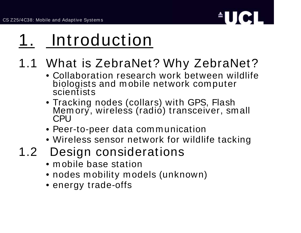

## 1. Introduction

#### 1.1 What is ZebraNet? Why ZebraNet?

- Collaboration research work between wildlife biologists and mobile network computer scientists
- Tracking nodes (collars) with GPS, Flash MemMemory, wireless (radió) transceiver, small<br>CPU
- Peer-to-peer data com munication
- Wireless sensor network for wildlife tacking
- 1.2 Design considerations
	- m obile base station
	- nodes mobility models (unknown)
	- energy trade-offs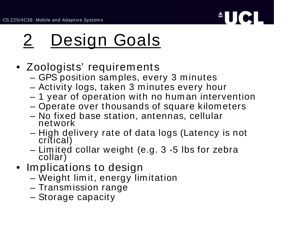

# 2 Design Goals

- Zoologists' requirements
	- GPS position samples, every 3 minutes
	- Activity logs, taken 3 minutes every hour
	- 1 year of operation with no hum an intervention
	- –Operate over thousands of square kilom eters
	- No fixed base station, antennas, cellular network
	- –– High delivery rate of data logs (Latency is not critical)
	- Lim ited collar weight (e.g. 3 -5 lbs for zebra collar)
- Implications to design
	- Weight lim it, energy limitation
	- $-$  Transmission range
	- Storage capacity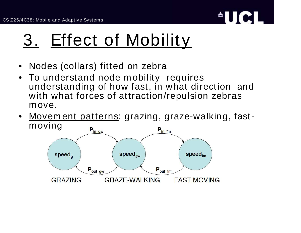

## 3. Effect of Mobility

- Nodes (collars) fitted on zebra
- To understand node m obility requires understanding of how fast, in what direction and with what forces of attraction/repulsion zebras m ove.
- Movem ent patterns: grazing, graze-walking, fastm oving

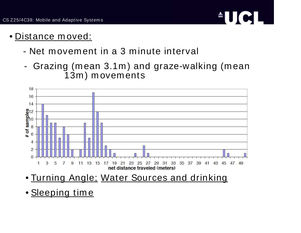

- Distance m oved:
	- Net movement in a 3 minute interval
	- - Grazing (mean 3.1m) and graze-walking (mean 13m ) movem ents



- Turning Angle; Water Sources and drinking
- <u>Sleeping time</u>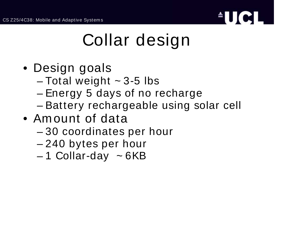

## Collar design

- Design goals
	- – $-$  Total weight  $\sim$  3-5 lbs
	- –– Energy 5 days of no recharge
	- –– Battery rechargeable using solar cell
- Am ount of data
	- –30 coordinates per hour
	- 240 bytes per hour
	- 1 Collar-day <sup>~</sup> 6KB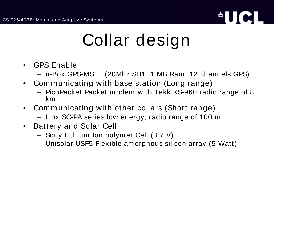

## Collar design

- $\bullet$  GPS Enable
	- u-Box GPS-MS1E (20Mhz SH1, 1 MB Ram , 12 channels GPS)
- $\bullet$  Com <sup>m</sup> unicating with base station (Long range)
	- PicoPacket Packet m odem with Tekk KS-960 radio range of 8 km
- $\bullet$  Com <sup>m</sup> unicating with other collars (Short range)
	- Linx SC-PA series low energy, radio range of 100 <sup>m</sup>
- $\bullet$  Battery and Solar Cell
	- Sony Lithium Ion polym er Cell (3.7 V)
	- Unisolar USF5 Flexible am orphous silicon array (5 Watt)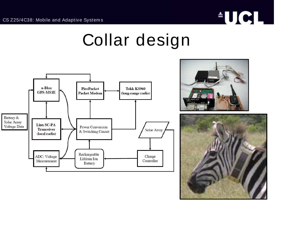

#### Collar design





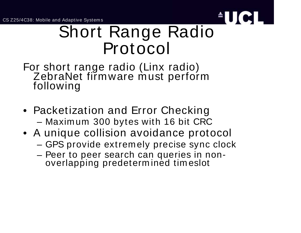CS Z25/4C38: Mobile and Adaptive System <sup>s</sup>



#### Short Range Radio Protocol

For short range radio (Linx radio) ZebraNet firmwareZebraNet firmware must perform<br>following

- Packetization and Error Checking – Maximum 300 bytes with 16 bit CRC
- A unique collision avoidance protocol
	- GPS provide extremely precise sync clock
	- Peer to peer search can queries in nonoverlapping predeterm ined tim eslot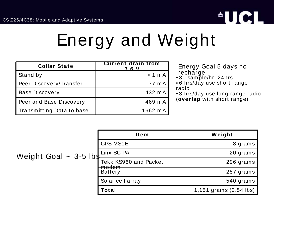

## Energy and Weight

| <b>Collar State</b>       | <b>Current drain from</b><br>3.6V |
|---------------------------|-----------------------------------|
| Stand by                  | $< 1$ mA                          |
| Peer Discovery/Transfer   | 177 m A                           |
| <b>Base Discovery</b>     | 432 mA                            |
| Peer and Base Discovery   | 469 mA                            |
| Transmitting Data to base | 1662 mA                           |

Energy Goal 5 days no recharge • 30 sam ple/hr, 24hrs

• 6 hrs/day use short range

radio

• 3 hrs/day use long range radio (**overlap** with short range)

| Weight Goal $\sim$ 3-5 lbs | <b>Item</b>                        | Weight                 |
|----------------------------|------------------------------------|------------------------|
|                            | GPS-MS1E                           | 8 grams                |
|                            | Linx SC-PA                         | 20 grams               |
|                            | Tekk KS960 and Packet              | 296 grams              |
|                            | <del>modem</del><br><b>Battery</b> | 287 grams              |
|                            | Solar cell array                   | 540 grams              |
|                            | Total                              | 1,151 grams (2.54 lbs) |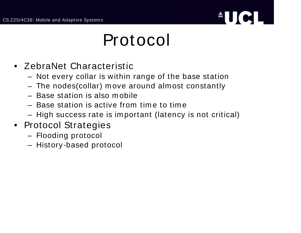

#### Protocol

- ZebraNet Characteristic
	- Not every collar is within range of the base station
	- The nodes(collar) <sup>m</sup> ove around alm ost constantly
	- Base station is also m obile
	- Base station is active from tim e to tim e
	- High success rate is important (latency is not critical)
- Protocol Strategies
	- Flooding protocol
	- History-based protocol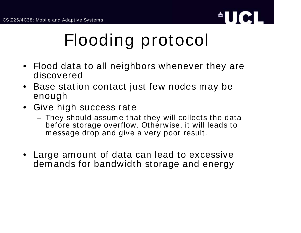

## Flooding protocol

- Flood data to all neighbors whenever they are discovered
- $\bullet$  Base station contact just few nodes <sup>m</sup> ay be enough
- Give high success rate
	- They should assum <sup>e</sup> that they will collects the data before storage overflow. Otherwise, it will leads to m essage drop and give <sup>a</sup> very poor result.
- Large amount of data can lead to excessive dem ands for bandwidth storage and energy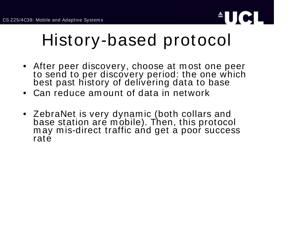

## History-based protocol

- After peer discovery, choose at <sup>m</sup> ost one peer to send to per discovery period: the one which<br>best past history of delivering data to base
- Can reduce amount of data in network
- ZebraNet is very dynamic (both collars and base station are mobile). Then, this protocol m ay <sup>m</sup> is-direct traffic and get <sup>a</sup> poor success rate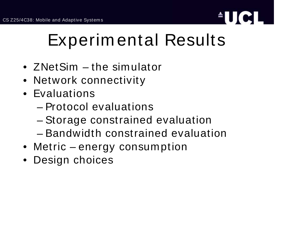

- ZNetSim the simulator
- Network connectivity
- Evaluations
	- Protocol evaluations
	- –Storage constrained evaluation
	- Bandwidth constrained evaluation
- Metric energy consumption
- Design choices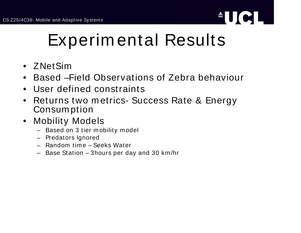

- ZNetSim
- $\bullet$ Based –Field Observations of Zebra behaviour
- $\bullet$ User defined constraints
- $\bullet$  Returns two m etrics- Success Rate & Energy Consum ption
- $\bullet$  Mobility Models
	- Based on 3 tier mobility model
	- Predators Ignored
	- Random time Seeks Water
	- Base Station 3hours per day and 30 km/hr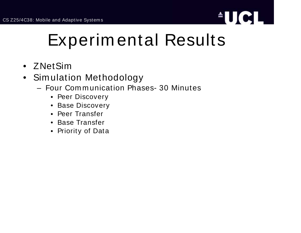

- ZNetSim
- $\bullet$  Simulation Methodology
	- Four Com m unication Phases- 30 Minutes
		- Peer Discovery
		- Base Discovery
		- Peer Transfer
		- Base Transfer
		- Priority of Data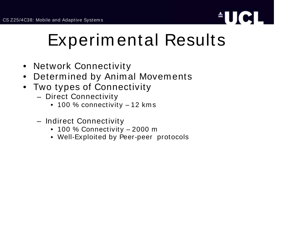

- Network Connectivity
- $\bullet$ Determ ined by Animal Movements
- $\bullet$  Two types of Connectivity
	- Direct Connectivity
		- 100 % connectivity 12 km <sup>s</sup>
	- Indirect Connectivity
		- 100 % Connectivity 2000 <sup>m</sup>
		- Well-Exploited by Peer-peer protocols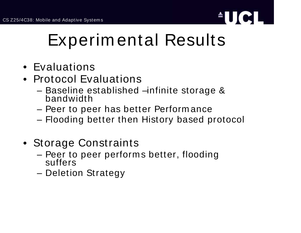

- Evaluations
- Protocol Evaluations
	- Baseline established –infinite storage &<br>bandwidth
	- –– Peer to peer has better Performance
	- Flooding better then History based protocol
- Storage Constraints
	- Peer to peer performs better, flooding suffers
	- –– Deletion Strategy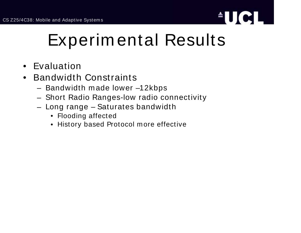

- $\bullet$ Evaluation
- $\bullet$ • Bandwidth Constraints
	- Bandwidth m ade lower –12kbps
	- Short Radio Ranges-low radio connectivity
	- Long range Saturates bandwidth
		- Flooding affected
		- History based Protocol <sup>m</sup> ore effective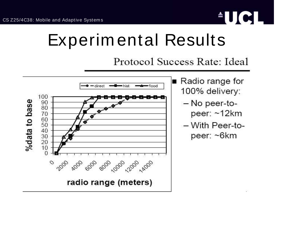

Protocol Success Rate: Ideal



- $\blacksquare$  Radio range for 100% delivery:
	- No peer-topeer: ~12km
	- With Peer-topeer: ~6km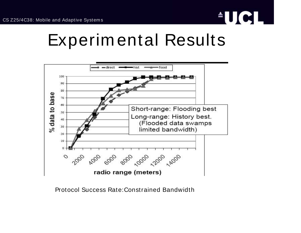



Protocol Success Rate:Constrained Bandwidth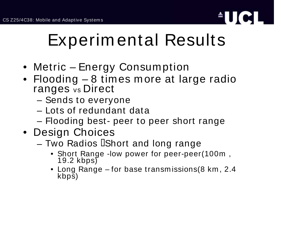

- Metric Energy Consum ption
- Flooding 8 times <sup>m</sup> ore at large radio ranges vs Direct
	- Sends to everyone
	- Lots of redundant data
	- Flooding best- peer to peer short range
- Design Choices
	- $-$  Two Radios  $\operatorname{\mathsf{I}}$ Short and long range
		- Short Range -low power for peer-peer(100m , 19.2 $19.2$  kbps)
		- Long Range for base transm issions(8 km , 2.4 kbps)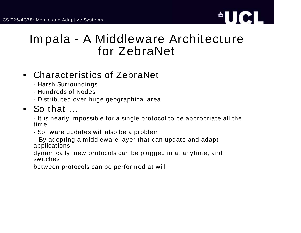

#### Im pala - A Middleware Architecture for ZebraNet

#### • Characteristics of ZebraNet

- Harsh Surroundings
- Hundreds of Nodes
- Distributed over huge geographical area

#### • So that …

- It is nearly impossible for <sup>a</sup> single protocol to be appropriate all the time

- Software updates will also be <sup>a</sup> problem

- By adopting <sup>a</sup> middleware layer that can update and adapt applications

dynamically, new protocols can be plugged in at anytime, and switches

between protocols can be performed at will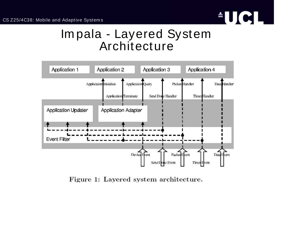

#### Im pala - Layered System Architecture



Figure 1: Layered system architecture.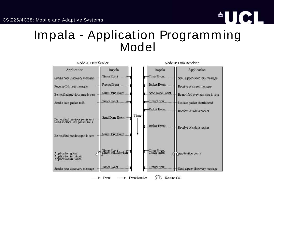

#### Im pala - Application Program <sup>m</sup> ing Model

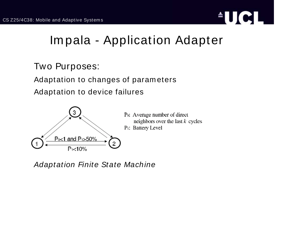

#### Im pala - Application Adapter

#### Two Purposes:

Adaptation to changes of param eters

Adaptation to device failures



Po: Average number of direct neighbors over the last  $k$  cycles P<sub>1</sub>: Battery Level

Adaptation Finite State Machine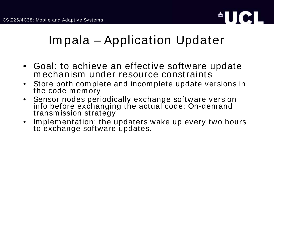

#### Im pala – Application Updater

- Goal: to achieve an effective software update m echanism under resource constraints
- • Store both com plete and incom plete update versions in the code m em ory
- $\bullet$  Sensor nodes periodically exchange software version infoinfo before exchanging the actual code: On-demand transm ission strategy
- • $\bullet$  Implementation: the updaters wake up every two hours to exchange software updates.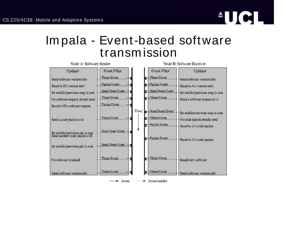

#### Im pala - Event-based software transm ission

| Node A: Software Sender                                                                                                                  |                                                                                             | Node B: Software Receiver                                                                                                                                                                                                                            |
|------------------------------------------------------------------------------------------------------------------------------------------|---------------------------------------------------------------------------------------------|------------------------------------------------------------------------------------------------------------------------------------------------------------------------------------------------------------------------------------------------------|
| Updater<br>Send software version info<br>Reoeive B's version info<br>Be notified previous msg is sent<br>No software request should send | Event Filter<br><b>Timer Event</b><br>Packet Eyent<br>Send Done Event<br><b>Timer Event</b> | <b>Event Filter</b><br>Updater<br>Timer Event<br>ы<br>Send software version info<br>-Packet Event<br>и<br>Receive A's version info.<br>Send Done Event<br>E<br>Be notified previous msg is sent<br>-Timer Event<br>ś<br>Send a software request to A |
| Receive B's software request<br>Send a code packet to B                                                                                  | Packet Event<br><b>Timer Event</b>                                                          | Time<br>Send Done Event<br>Be notified previous msg is sent<br>$\blacksquare$ Timer Event<br>No code packet should send<br>-Packet Event<br>н                                                                                                        |
| Be notified previous pkt is sent.<br>Send another code packet to B<br>Be notified previous pkt is sent                                   | Send Done Event<br>Send Done Event -                                                        | Receive A's code packet<br>-Packet Event<br>ы<br>Receive A's code packet.                                                                                                                                                                            |
| No software to install                                                                                                                   | <b>Timer Event</b>                                                                          | -Timer Event<br>ы<br>Install new software                                                                                                                                                                                                            |
| Send software version info                                                                                                               | <b>Timer Event</b><br>Event                                                                 | -Timer Event<br>Send software version info<br>$\blacktriangleright$ Event handler<br>-----                                                                                                                                                           |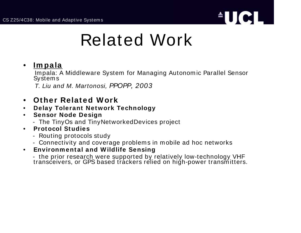

## Related Work

#### $\bullet$ **Im pala**

Impala: <sup>A</sup> Middleware System for Managing Autonom ic Parallel Sensor Systems

T. Liu and M. Martonosi, PPOPP, 2003

- $\bullet$ **Other Relat ed W ork**
- $\bullet$ **Delay Tolerant Network Technology**
- • **Sensor Node Design**
	- The TinyOs and TinyNetworkedDevices project
- • **Protocol Studies**
	- Routing protocols study
	- Connectivity and coverage problems in mobile ad hoc networks
- $\bullet$ **Environment al and Wildlife Sensing**

- the prior research were supported by relatively low-technology VHF<br>transceivers, or GPS based trackers relied on high-power transmitters.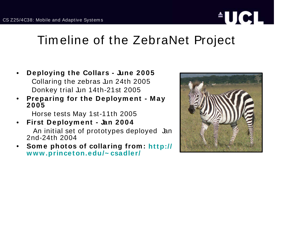# **AUCL**

#### Tim eline of the ZebraNet Project

- • **Deploying the Collars - June 2005** Collaring the zebras Jun 24th 2005 Donkey trial Jun 14th-21st 2005
- • **Preparing for the Deploym ent - M ay 2005**

Horse tests May 1st-11th 2005

- • **First Deploym ent - Jan 2004** An initial set of prototypes deployed Jan 2nd-24th 2004
- • **Som <sup>e</sup> photos of collaring from : http:// www.princeton.edu/~ csadler/**

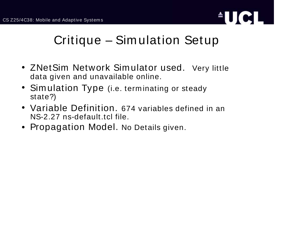

#### Critique – Sim ulation Setup

- ZNetSim Network Simulator used. Very little data given and unavailable online.
- Sim ulation Type (i.e. term inating or steady state?)
- Variable Definition. 674 variables defined in an NS-2.27 ns-default.tcl file.
- Propagation Model. No Details given.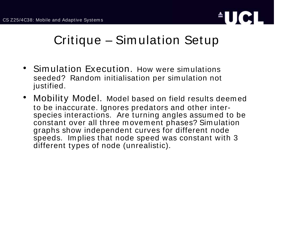

#### Critique – Sim ulation Setup

- $\bullet$  Simulation Execution. How were sim ulations seeded? Random initialisation per sim ulation not justified.
- $\bullet$  Mobility Model. Model based on field results deem ed to be inaccurate. Ignores predators and other interspecies interactions. Are turning angles assum ed to be constant over all three m ovem ent phases? Sim ulation graphs show independent curves for different node speeds. Im plies that node speed was constant with 3 different types of node (unrealistic).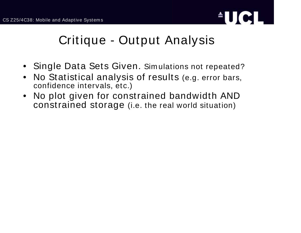

#### Critique - Output Analysis

- Single Data Sets Given. Sim ulations not repeated?
- $\bullet$  No Statistical analysis of results (e.g. error bars, confidence intervals, etc.)
- $\bullet$  No plot given for constrained bandwidth AND constrained storage (i.e. the real world situation)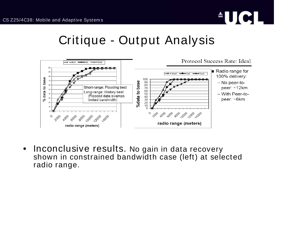

#### Critique - Output Analysis



 $\bullet$ **• Inconclusive results. No gain in data recovery** shown in constrained bandwidth case (left) at selected radio range.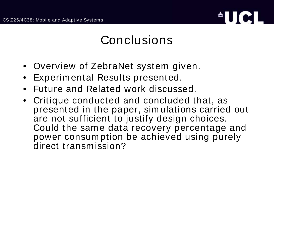

#### **Conclusions**

- •Overview of ZebraNet system given.
- •Experim ental Results presented.
- $\bullet$ Future and Related work discussed.
- $\bullet$  Critique conducted and concluded that, as presented in the paper, simulations carried out are not sufficient to justify design choices. Could the same data recovery percentage and power consum ption be achieved using purely direct transm ission?